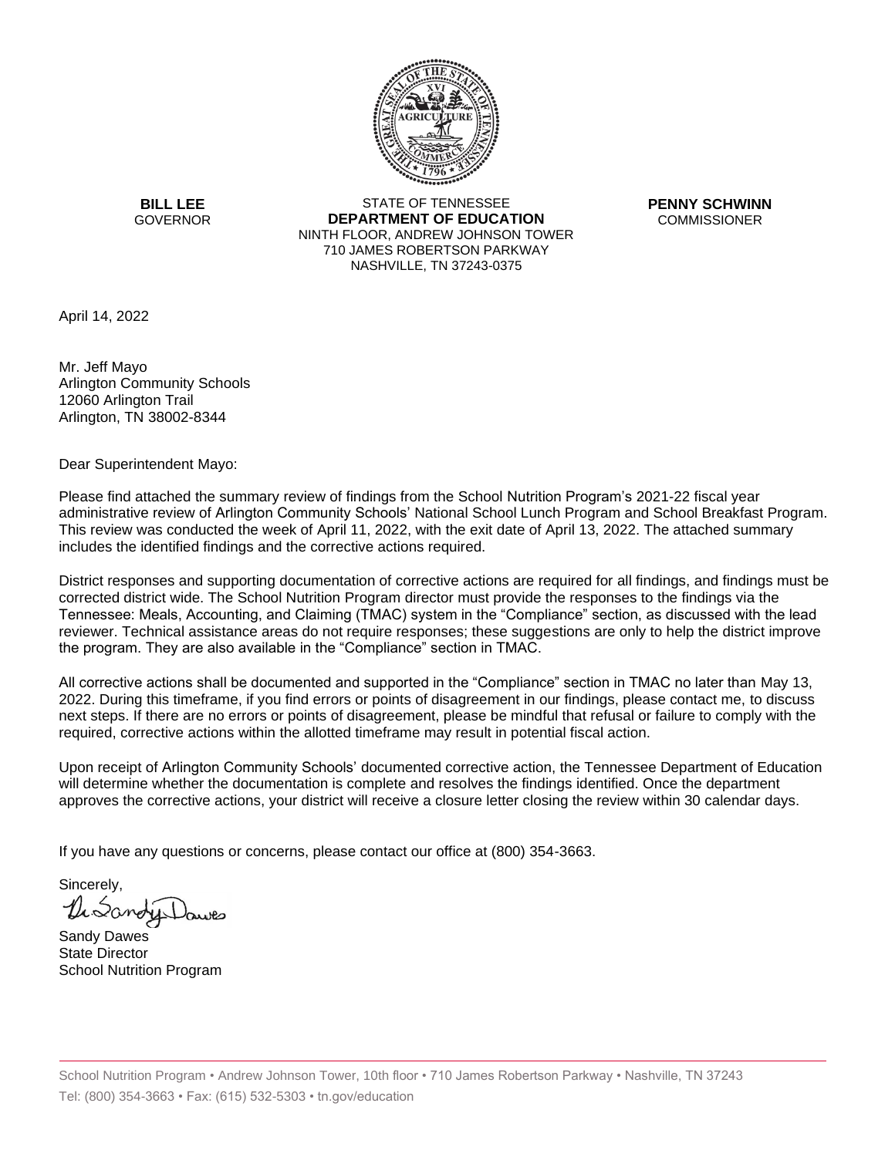

**BILL LEE GOVERNOR** 

STATE OF TENNESSEE **DEPARTMENT OF EDUCATION** NINTH FLOOR, ANDREW JOHNSON TOWER 710 JAMES ROBERTSON PARKWAY NASHVILLE, TN 37243-0375

**PENNY SCHWINN COMMISSIONER** 

April 14, 2022

Mr. Jeff Mayo Arlington Community Schools 12060 Arlington Trail Arlington, TN 38002-8344

Dear Superintendent Mayo:

Please find attached the summary review of findings from the School Nutrition Program's 2021-22 fiscal year administrative review of Arlington Community Schools' National School Lunch Program and School Breakfast Program. This review was conducted the week of April 11, 2022, with the exit date of April 13, 2022. The attached summary includes the identified findings and the corrective actions required.

District responses and supporting documentation of corrective actions are required for all findings, and findings must be corrected district wide. The School Nutrition Program director must provide the responses to the findings via the Tennessee: Meals, Accounting, and Claiming (TMAC) system in the "Compliance" section, as discussed with the lead reviewer. Technical assistance areas do not require responses; these suggestions are only to help the district improve the program. They are also available in the "Compliance" section in TMAC.

All corrective actions shall be documented and supported in the "Compliance" section in TMAC no later than May 13, 2022. During this timeframe, if you find errors or points of disagreement in our findings, please contact me, to discuss next steps. If there are no errors or points of disagreement, please be mindful that refusal or failure to comply with the required, corrective actions within the allotted timeframe may result in potential fiscal action.

Upon receipt of Arlington Community Schools' documented corrective action, the Tennessee Department of Education will determine whether the documentation is complete and resolves the findings identified. Once the department approves the corrective actions, your district will receive a closure letter closing the review within 30 calendar days.

If you have any questions or concerns, please contact our office at (800) 354-3663.

Sincerely, DiSano

Sandy Dawes State Director School Nutrition Program